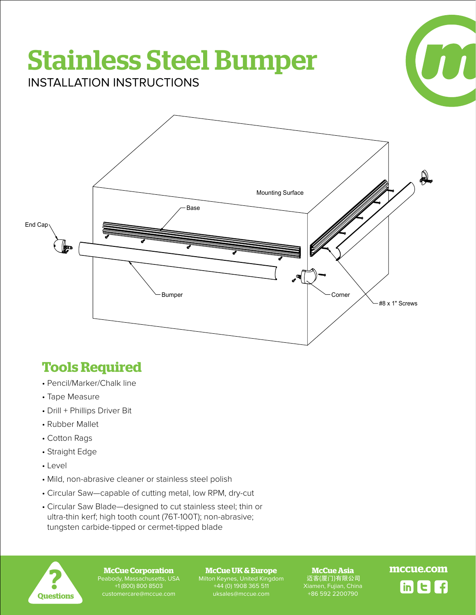# Stainless Steel Bumper



INSTALLATION INSTRUCTIONS



## **Tools Required**

- Pencil/Marker/Chalk line
- Tape Measure
- Drill + Phillips Driver Bit
- Rubber Mallet
- Cotton Rags
- Straight Edge
- Level
- Mild, non-abrasive cleaner or stainless steel polish
- Circular Saw—capable of cutting metal, low RPM, dry-cut
- Circular Saw Blade—designed to cut stainless steel; thin or ultra-thin kerf; high tooth count (76T-100T); non-abrasive; tungsten carbide-tipped or cermet-tipped blade



Peabody, Massachusetts, USA +1 (800) 800 8503

Milton Keynes, United Kingdom +44 (0) 1908 365 511

**McCue Asia** 迈客(厦门)有限公司 Xiamen, Fujian, China +86 592 2200790

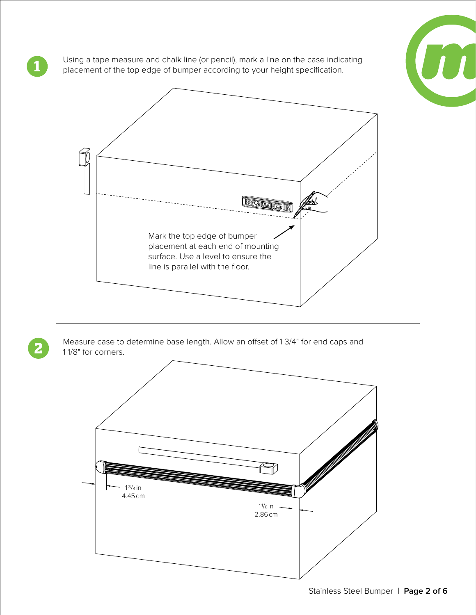

Using a tape measure and chalk line (or pencil), mark a line on the case indicating placement of the top edge of bumper according to your height specification.

**1**

**2**



Measure case to determine base length. Allow an offset of 1 3/4" for end caps and 1 1/8" for corners.

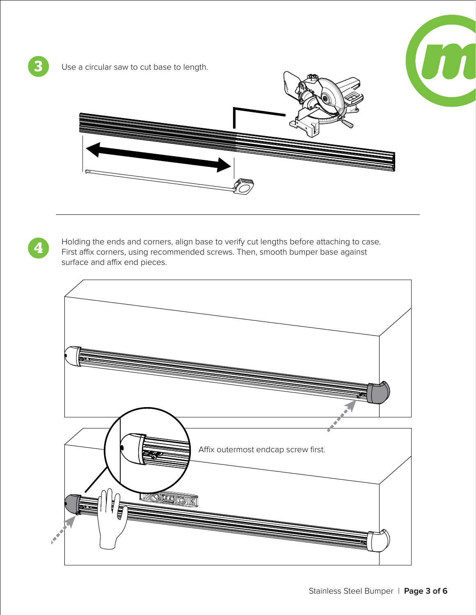

**41** Holding the ends and corners, align base to verify cut lengths before attaching to case.<br>First affix corners, using recommended screws. Then, smooth bumper base against surface and affix end pieces.

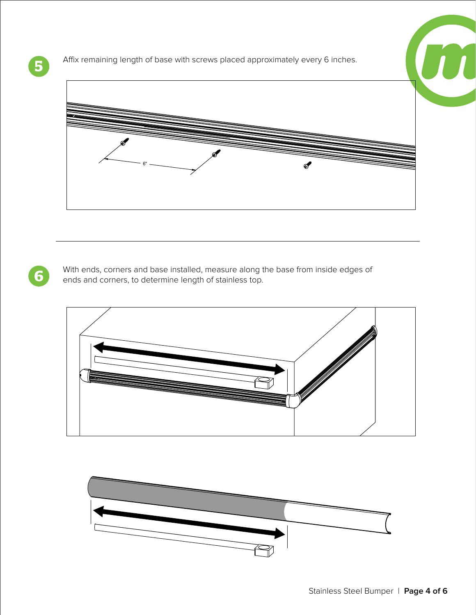

**5** Affix remaining length of base with screws placed approximately every 6 inches.



With ends, corners and base installed, measure along the base from inside edges of ends and corners, to determine length of stainless top.



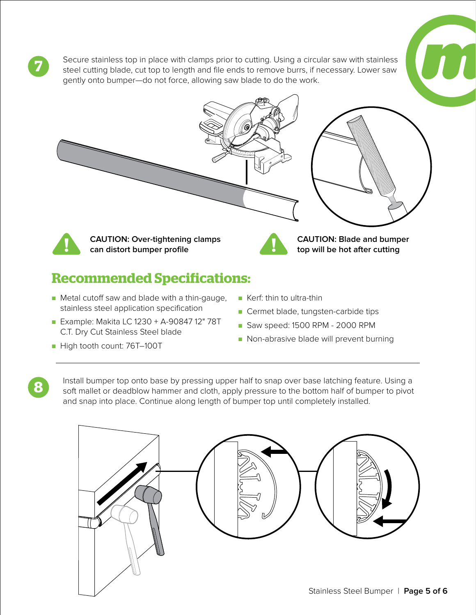Secure stainless top in place with clamps prior to cutting. Using a circular saw with stainless steel cutting blade, cut top to length and file ends to remove burrs, if necessary. Lower saw gently onto bumper—do not force, allowing saw blade to do the work.



## **Recommended Specifications:**

- Metal cutoff saw and blade with a thin-gauge, stainless steel application specification
- Example: Makita LC 1230 + A-90847 12" 78T C.T. Dry Cut Stainless Steel blade
- High tooth count: 76T-100T

**7**

**8**

- Kerf: thin to ultra-thin
- Cermet blade, tungsten-carbide tips
- Saw speed: 1500 RPM 2000 RPM
- Non-abrasive blade will prevent burning

Install bumper top onto base by pressing upper half to snap over base latching feature. Using a soft mallet or deadblow hammer and cloth, apply pressure to the bottom half of bumper to pivot and snap into place. Continue along length of bumper top until completely installed.